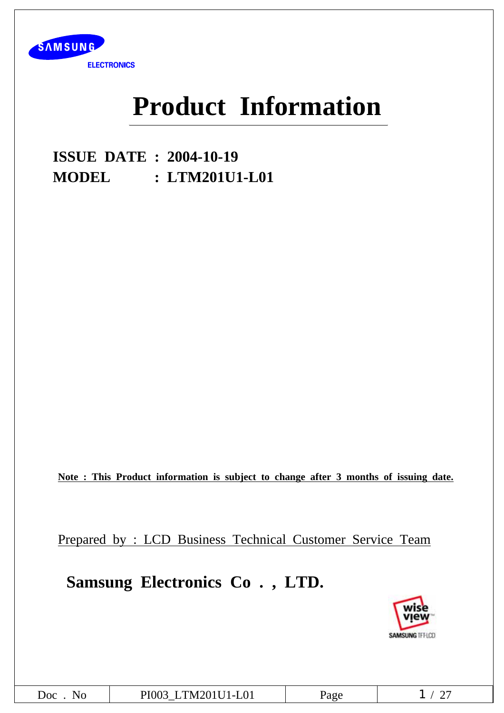

# **Product Information**

**ISSUE DATE : 2004-10-19 MODEL : LTM201U1-L01**

**Note : This Product information is subject to change after 3 months of issuing date.**

Prepared by : LCD Business Technical Customer Service Team

# **Samsung Electronics Co . , LTD.**



| $\overline{OC}$<br>$\mathbf{N}$ | PI003 LTM201U1-L01 | 'age |  |
|---------------------------------|--------------------|------|--|
|---------------------------------|--------------------|------|--|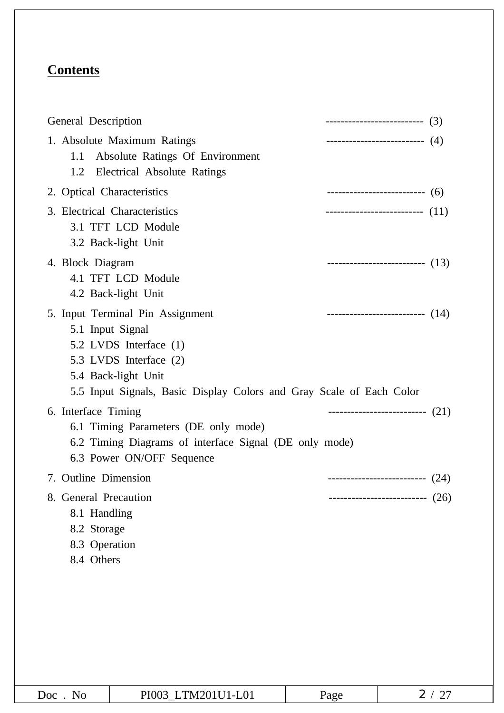# **Contents**

| General Description                                                                 |                                                                                                                                                                                     |      | --------------------------- (3)      |
|-------------------------------------------------------------------------------------|-------------------------------------------------------------------------------------------------------------------------------------------------------------------------------------|------|--------------------------------------|
| 1.1<br>1.2                                                                          | 1. Absolute Maximum Ratings<br>Absolute Ratings Of Environment<br>Electrical Absolute Ratings                                                                                       |      | -------------------------- (4)       |
| 2. Optical Characteristics                                                          |                                                                                                                                                                                     |      | ---------------------------------(6) |
|                                                                                     | 3. Electrical Characteristics<br>3.1 TFT LCD Module<br>3.2 Back-light Unit                                                                                                          |      | --------------------------- (11)     |
| 4. Block Diagram                                                                    | 4.1 TFT LCD Module<br>4.2 Back-light Unit                                                                                                                                           |      | ---------------------------- $(13)$  |
| 5.1 Input Signal                                                                    | 5. Input Terminal Pin Assignment<br>5.2 LVDS Interface (1)<br>5.3 LVDS Interface (2)<br>5.4 Back-light Unit<br>5.5 Input Signals, Basic Display Colors and Gray Scale of Each Color |      | ---------------------------- $(14)$  |
| 6. Interface Timing                                                                 | 6.1 Timing Parameters (DE only mode)<br>6.2 Timing Diagrams of interface Signal (DE only mode)<br>6.3 Power ON/OFF Sequence                                                         |      | ---------------------------- $(21)$  |
| 7. Outline Dimension                                                                |                                                                                                                                                                                     |      | --------------------------- $(24)$   |
| 8. General Precaution<br>8.1 Handling<br>8.2 Storage<br>8.3 Operation<br>8.4 Others |                                                                                                                                                                                     |      | (26)<br>-------------                |
| Doc. No                                                                             | PI003_LTM201U1-L01                                                                                                                                                                  | Page | 2/27                                 |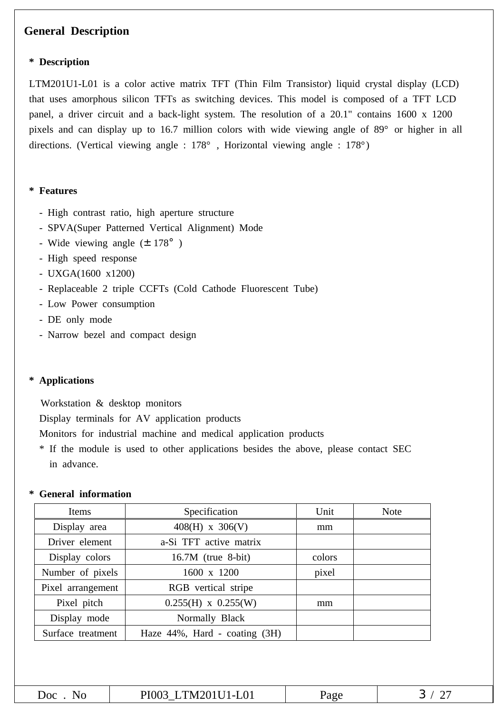### **General Description**

#### **\* Description**

LTM201U1-L01 is a color active matrix TFT (Thin Film Transistor) liquid crystal display (LCD) that uses amorphous silicon TFTs as switching devices. This model is composed of a TFT LCD panel, a driver circuit and a back-light system. The resolution of a 20.1" contains 1600 x 1200 pixels and can display up to 16.7 million colors with wide viewing angle of 89° or higher in all directions. (Vertical viewing angle : 178° , Horizontal viewing angle : 178°)

#### **\* Features**

- High contrast ratio, high aperture structure
- SPVA(Super Patterned Vertical Alignment) Mode
- Wide viewing angle  $(\pm 178^\circ)$
- High speed response
- UXGA(1600 x1200)
- Replaceable 2 triple CCFTs (Cold Cathode Fluorescent Tube)
- Low Power consumption
- DE only mode
- Narrow bezel and compact design

#### **\* Applications**

Workstation & desktop monitors

Display terminals for AV application products

Monitors for industrial machine and medical application products

\* If the module is used to other applications besides the above, please contact SEC in advance.

#### **\* General information**

| Items             | Specification                       | Unit   | <b>Note</b> |
|-------------------|-------------------------------------|--------|-------------|
| Display area      | $408(H)$ x 306(V)                   | mm     |             |
| Driver element    | a-Si TFT active matrix              |        |             |
| Display colors    | $16.7M$ (true 8-bit)                | colors |             |
| Number of pixels  | 1600 x 1200                         | pixel  |             |
| Pixel arrangement | RGB vertical stripe                 |        |             |
| Pixel pitch       | $0.255(H)$ x $0.255(W)$             | mm     |             |
| Display mode      | Normally Black                      |        |             |
| Surface treatment | Haze $44\%$ , Hard - coating $(3H)$ |        |             |
|                   |                                     |        |             |

| $\mathsf{L} \cap C$<br>N<br>1 J L | .<br>$-L01$<br>K<br>'NA<br>. |  |
|-----------------------------------|------------------------------|--|
|                                   |                              |  |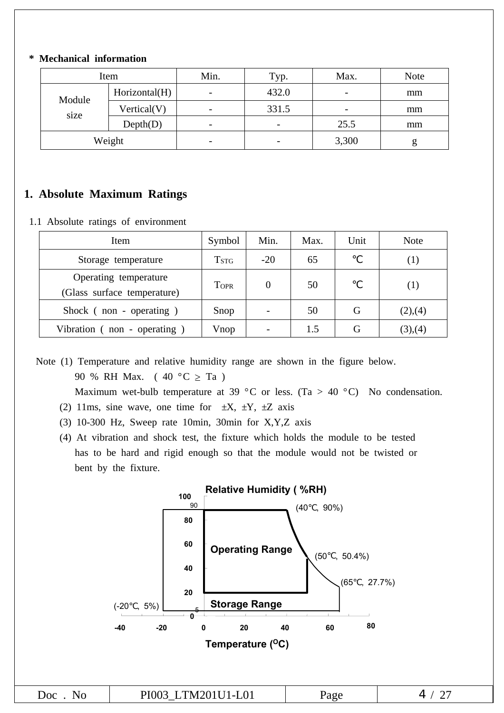#### **\* Mechanical information**

|        | Item          | Min.                     | Typ.                     | Max.                     | <b>Note</b> |
|--------|---------------|--------------------------|--------------------------|--------------------------|-------------|
| Module | Horizontal(H) | $\overline{\phantom{a}}$ | 432.0                    | $\overline{\phantom{0}}$ | mm          |
| size   | Vertical(V)   | $\overline{\phantom{a}}$ | 331.5                    | -                        | mm          |
|        | Depth(D)      | $\overline{\phantom{a}}$ | $\overline{\phantom{0}}$ | 25.5                     | mm          |
|        | Weight        | -                        | -                        | 3,300                    | g           |

## **1. Absolute Maximum Ratings**

1.1 Absolute ratings of environment

| Item                                                 | Symbol                      | Min.  | Max. | Unit | <b>Note</b> |
|------------------------------------------------------|-----------------------------|-------|------|------|-------------|
| Storage temperature                                  | $\mathrm{T}_{\mathrm{STG}}$ | $-20$ | 65   |      | (1)         |
| Operating temperature<br>(Glass surface temperature) | <b>TOPR</b>                 | 0     | 50   |      | (1)         |
| Shock (non - operating)                              | Snop                        |       | 50   | G    | (2),(4)     |
| Vibration (non - operating)                          | Vnop                        |       | 1.5  | G    | (3),(4)     |

Note (1) Temperature and relative humidity range are shown in the figure below. 90 % RH Max. (  $40 °C \geq Ta$  )

Maximum wet-bulb temperature at 39 °C or less. (Ta > 40 °C) No condensation.

- (2) 11ms, sine wave, one time for  $\pm X$ ,  $\pm Y$ ,  $\pm Z$  axis
- (3) 10-300 Hz, Sweep rate 10min, 30min for X,Y,Z axis
- (4) At vibration and shock test, the fixture which holds the module to be tested has to be hard and rigid enough so that the module would not be twisted or bent by the fixture.

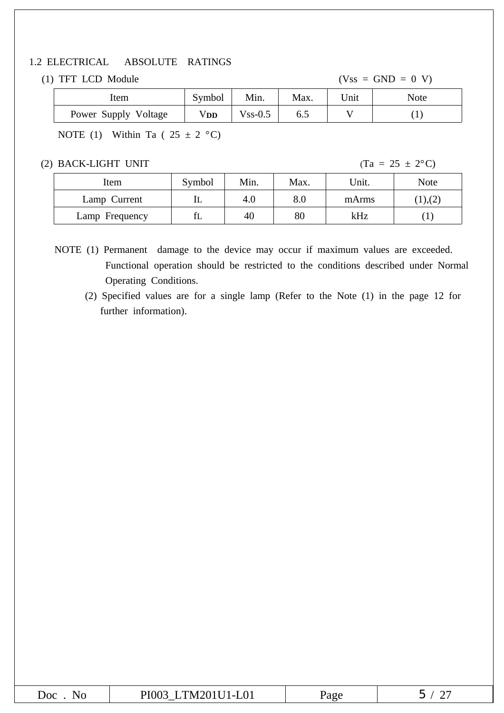#### 1.2 ELECTRICAL ABSOLUTE RATINGS

#### (1) TFT LCD Module  $(Vss = GND = 0 V)$

|                      |        |               |      | .    | ___  |  |
|----------------------|--------|---------------|------|------|------|--|
| Item                 | Symbol | Min.          | Max. | Unit | Note |  |
| Power Supply Voltage | Vdd    | $V$ ss- $0.5$ |      |      |      |  |
|                      |        |               |      |      |      |  |

NOTE (1) Within Ta ( $25 \pm 2$  °C)

(2) BACK-LIGHT UNIT (Ta =  $25 \pm 2$ °C)

| Item           | Symbol | Min. | Max. | Unit. | <b>Note</b> |
|----------------|--------|------|------|-------|-------------|
| Lamp Current   | ட      | 4.0  | 8.0  | mArms | (1),(2)     |
| Lamp Frequency | ΙL     | 40   | 80   | kHz   |             |

NOTE (1) Permanent damage to the device may occur if maximum values are exceeded. Functional operation should be restricted to the conditions described under Normal Operating Conditions.

(2) Specified values are for a single lamp (Refer to the Note (1) in the page 12 for further information).

| 'LUI<br>1100<br>. PITHEOLOF PAS<br>-- |
|---------------------------------------|
|---------------------------------------|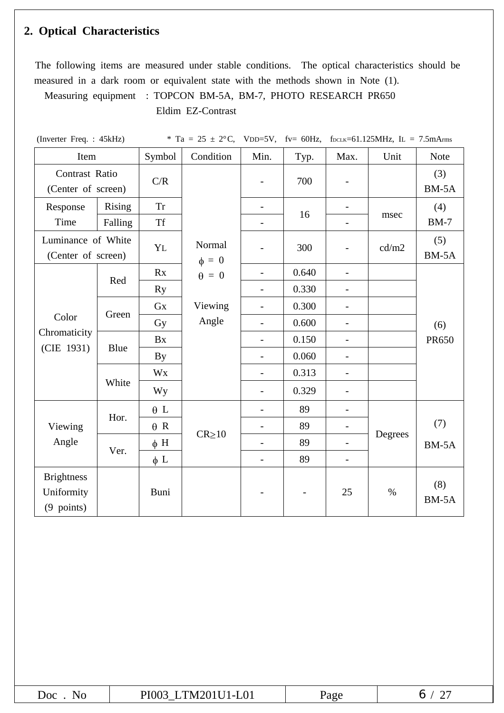# **2. Optical Characteristics**

The following items are measured under stable conditions. The optical characteristics should be measured in a dark room or equivalent state with the methods shown in Note (1).

Measuring equipment : TOPCON BM-5A, BM-7, PHOTO RESEARCH PR650 Eldim EZ-Contrast

(Inverter Freq. : 45kHz)  $*$  Ta = 25  $\pm$  2°C, VDD=5V, fv= 60Hz, f<sub>DCLK</sub>=61.125MHz, IL = 7.5mArms

| Item                                          |         | Symbol     | Condition            | Min.                     | Typ.  | Max.                     | Unit    | <b>Note</b>    |
|-----------------------------------------------|---------|------------|----------------------|--------------------------|-------|--------------------------|---------|----------------|
| Contrast Ratio<br>(Center of screen)          |         | C/R        |                      |                          | 700   | $\overline{\phantom{a}}$ |         | (3)<br>$BM-5A$ |
| Response                                      | Rising  | <b>Tr</b>  |                      |                          | 16    |                          |         | (4)            |
| Time                                          | Falling | <b>Tf</b>  |                      |                          |       |                          | msec    | $BM-7$         |
| Luminance of White<br>(Center of screen)      |         | YL         | Normal<br>$\phi = 0$ |                          | 300   | $\overline{a}$           | cd/m2   | (5)<br>BM-5A   |
|                                               |         | Rx         | $\theta = 0$         |                          | 0.640 | $\overline{\phantom{a}}$ |         |                |
|                                               | Red     | <b>Ry</b>  |                      | $\overline{\phantom{a}}$ | 0.330 | $\overline{\phantom{a}}$ |         |                |
|                                               |         | <b>Gx</b>  | Viewing              | $\blacksquare$           | 0.300 | $\overline{\phantom{a}}$ |         |                |
| Green<br>Color                                |         | Gy         | Angle                |                          | 0.600 | $\overline{a}$           |         | (6)            |
| Chromaticity                                  |         | <b>Bx</b>  |                      | $\overline{\phantom{a}}$ | 0.150 | $\overline{\phantom{0}}$ |         | PR650          |
| (CIE 1931)                                    | Blue    | By         |                      | $\overline{\phantom{a}}$ | 0.060 | $\overline{\phantom{m}}$ |         |                |
|                                               |         | <b>Wx</b>  |                      |                          | 0.313 | $\overline{a}$           |         |                |
|                                               | White   | Wy         |                      | $\overline{\phantom{0}}$ | 0.329 | $\overline{\phantom{0}}$ |         |                |
|                                               |         | $\theta$ L |                      |                          | 89    | $\qquad \qquad -$        |         |                |
| Viewing                                       | Hor.    | $\theta$ R |                      |                          | 89    | $\qquad \qquad -$        |         | (7)            |
| Angle                                         |         | $\phi$ H   | $CR \ge 10$          |                          | 89    |                          | Degrees | BM-5A          |
|                                               | Ver.    | $\phi$ L   |                      | $\overline{\phantom{a}}$ | 89    | $\overline{\phantom{a}}$ |         |                |
| <b>Brightness</b><br>Uniformity<br>(9 points) |         | Buni       |                      |                          |       | 25                       | $\%$    | (8)<br>BM-5A   |

| $\boldsymbol{r} \wedge \boldsymbol{\wedge}$ $\boldsymbol{\wedge}$ $\boldsymbol{\wedge}$ $\boldsymbol{\wedge}$<br>$\sim$ $\sim$<br>.<br>N<br>'JU L<br>____ | age<br><u>_</u> |  |
|-----------------------------------------------------------------------------------------------------------------------------------------------------------|-----------------|--|
|-----------------------------------------------------------------------------------------------------------------------------------------------------------|-----------------|--|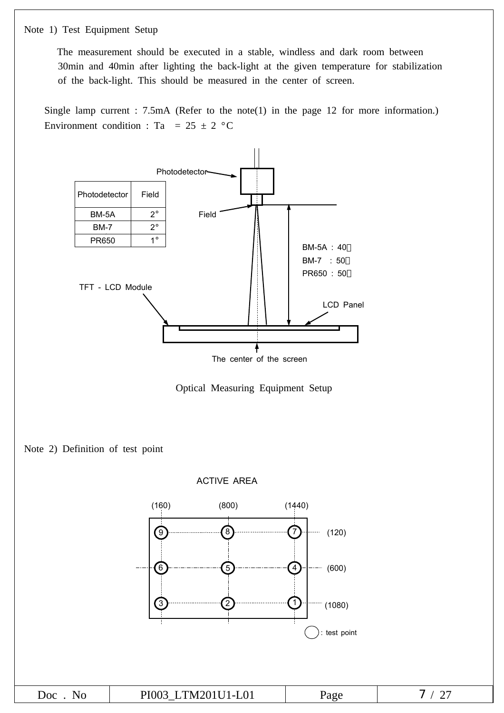Note 1) Test Equipment Setup

The measurement should be executed in a stable, windless and dark room between 30min and 40min after lighting the back-light at the given temperature for stabilization of the back-light. This should be measured in the center of screen.

Single lamp current : 7.5mA (Refer to the note(1) in the page 12 for more information.) Environment condition : Ta =  $25 \pm 2$  °C







Doc . No | PI003\_LTM201U1-L01 | Page | 7 / 27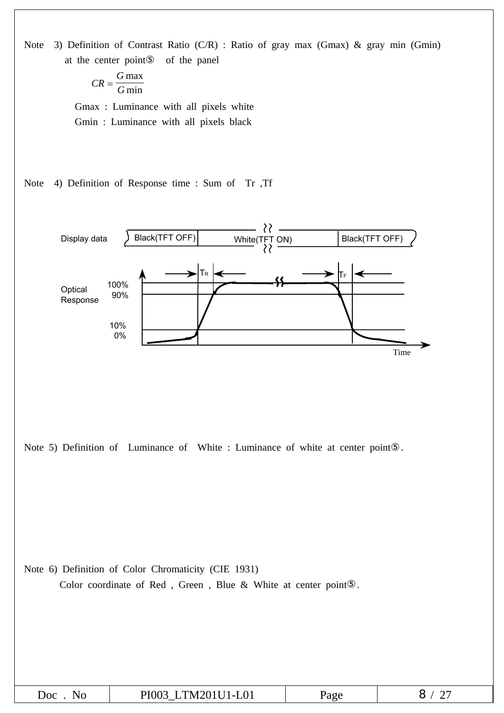

| TM201II1-L01<br>JOC<br>NU.<br>⊣∪⊥ | $\sim$ $\sim$ $\sim$<br>$\mathbf{u}$ |  |
|-----------------------------------|--------------------------------------|--|
|-----------------------------------|--------------------------------------|--|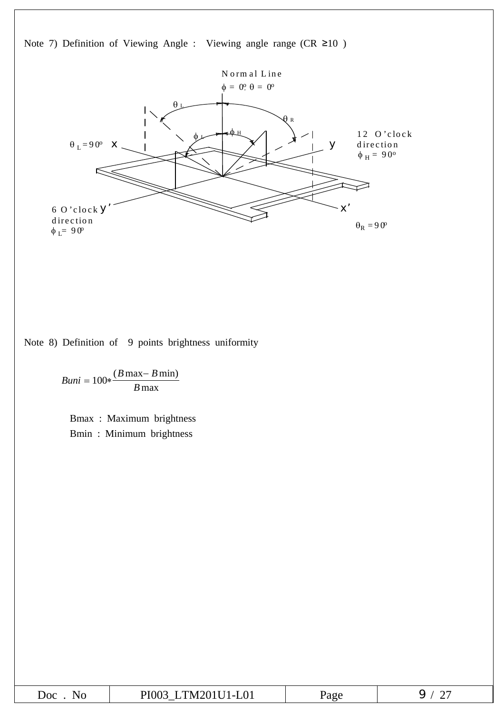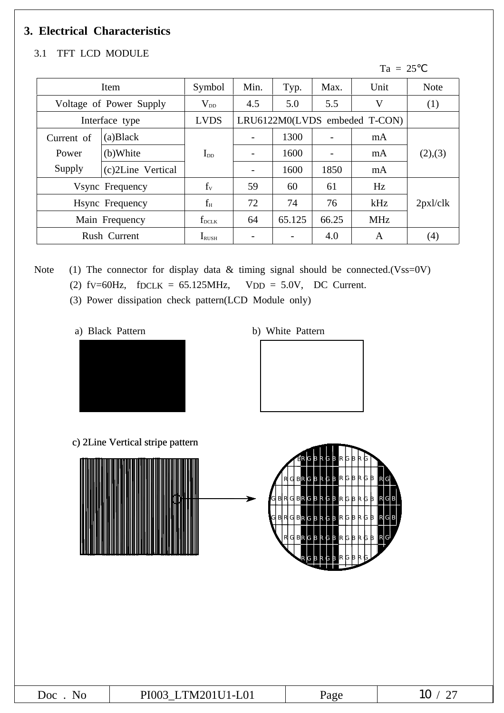# **3. Electrical Characteristics**

#### 3.1 TFT LCD MODULE

#### $Ta = 25$

| Item                        |                         | Symbol            | Min.                     | Typ.                          | Max.                     | Unit       | <b>Note</b> |
|-----------------------------|-------------------------|-------------------|--------------------------|-------------------------------|--------------------------|------------|-------------|
|                             | Voltage of Power Supply | $V_{DD}$          | 4.5                      | 5.0                           | 5.5                      | V          | (1)         |
|                             | Interface type          | <b>LVDS</b>       |                          | LRU6122M0(LVDS embeded T-CON) |                          |            |             |
| Current of                  | (a) Black               |                   |                          | 1300                          | $\overline{\phantom{m}}$ | mA         |             |
| (b)White<br>Power           |                         | $I_{DD}$          | $\overline{\phantom{a}}$ | 1600                          | $\overline{\phantom{0}}$ | mA         | (2),(3)     |
| Supply<br>(c)2Line Vertical |                         |                   | $\overline{\phantom{a}}$ | 1600                          | 1850                     | mA         |             |
| Vsync Frequency             |                         | $f_v$             | 59                       | 60                            | 61                       | Hz         |             |
| Hsync Frequency             |                         | $f_H$             | 72                       | 74                            | 76                       | kHz        | 2px1/clk    |
| Main Frequency              |                         | $f_{\rm DCLK}$    | 64                       | 65.125                        | 66.25                    | <b>MHz</b> |             |
|                             | Rush Current            | $I_{\text{RUSH}}$ |                          |                               | 4.0                      | A          | (4)         |

Note (1) The connector for display data  $&$  timing signal should be connected.(Vss=0V)

- (2)  $fV=60Hz$ ,  $fDCLK = 65.125MHz$ ,  $VDD = 5.0V$ , DC Current.
	- (3) Power dissipation check pattern(LCD Module only)
		-



a) Black Pattern b) White Pattern



c) 2Line Vertical stripe pattern



| DI<br>$\Omega$<br>n<br>__ |                             |                      |                          |
|---------------------------|-----------------------------|----------------------|--------------------------|
|                           | $\sim$ $\sim$ $\sim$ $\sim$ | $\sim$ $\sim$ $\sim$ | $\overline{\phantom{0}}$ |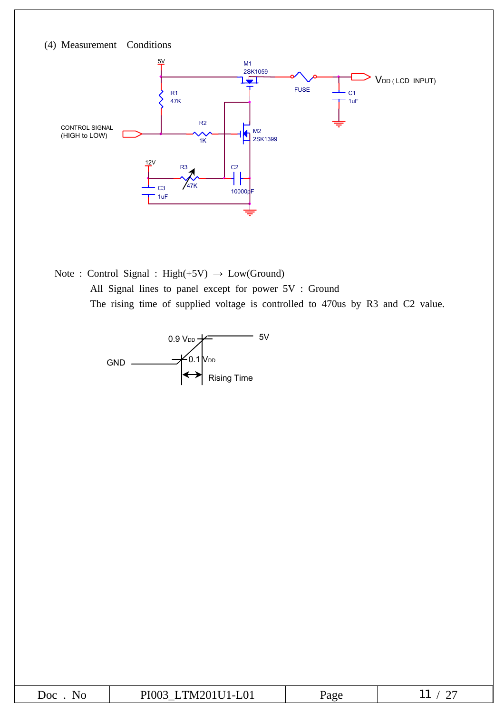

Note : Control Signal : High(+5V) **→** Low(Ground) All Signal lines to panel except for power 5V : Ground The rising time of supplied voltage is controlled to 470us by R3 and C2 value.



| JOC<br>NG | <b>TT CAO - TT - 1</b><br>$\mathbf{H}$<br>$N^r$<br>.<br>'LUI | 'a o e<br>$\cdots$ | --<br>- |
|-----------|--------------------------------------------------------------|--------------------|---------|
|-----------|--------------------------------------------------------------|--------------------|---------|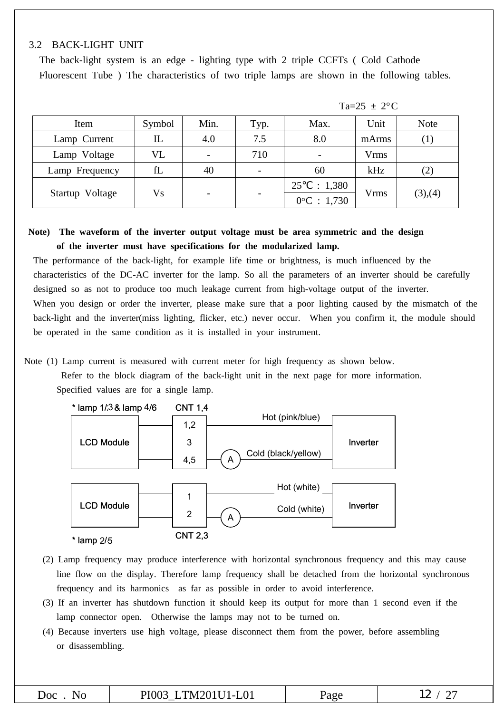#### 3.2 BACK-LIGHT UNIT

The back-light system is an edge - lighting type with 2 triple CCFTs ( Cold Cathode Fluorescent Tube ) The characteristics of two triple lamps are shown in the following tables.

| Item            | Symbol | Min. | Typ. | Max.                                   | Unit  | <b>Note</b> |
|-----------------|--------|------|------|----------------------------------------|-------|-------------|
| Lamp Current    | IL     | 4.0  | 7.5  | 8.0                                    | mArms | $\perp$     |
| Lamp Voltage    | VL     |      | 710  | $\overline{\phantom{a}}$               | Vrms  |             |
| Lamp Frequency  | fL     | 40   |      | 60                                     | kHz   | (2)         |
| Startup Voltage | Vs     |      |      | 25<br>: 1,380<br>$0^{\circ}$ C : 1,730 | Vrms  | (3), (4)    |

 $Ta=25 \pm 2$ °C

#### **Note) The waveform of the inverter output voltage must be area symmetric and the design of the inverter must have specifications for the modularized lamp.**

The performance of the back-light, for example life time or brightness, is much influenced by the characteristics of the DC-AC inverter for the lamp. So all the parameters of an inverter should be carefully designed so as not to produce too much leakage current from high-voltage output of the inverter. When you design or order the inverter, please make sure that a poor lighting caused by the mismatch of the back-light and the inverter(miss lighting, flicker, etc.) never occur. When you confirm it, the module should be operated in the same condition as it is installed in your instrument.

Note (1) Lamp current is measured with current meter for high frequency as shown below.

Refer to the block diagram of the back-light unit in the next page for more information. Specified values are for a single lamp.



\* lamp 2/5

| CNT 2. | 2,3 |
|--------|-----|
|--------|-----|

- (2) Lamp frequency may produce interference with horizontal synchronous frequency and this may cause line flow on the display. Therefore lamp frequency shall be detached from the horizontal synchronous frequency and its harmonics as far as possible in order to avoid interference.
- (3) If an inverter has shutdown function it should keep its output for more than 1 second even if the lamp connector open. Otherwise the lamps may not to be turned on.
- (4) Because inverters use high voltage, please disconnect them from the power, before assembling or disassembling.

| $\Omega$ <sup>1</sup><br>ГM<br>210C<br>$^{\prime}$ ) ( ) . | ате | $\overline{1}$<br>$\overline{\phantom{0}}$ |
|------------------------------------------------------------|-----|--------------------------------------------|
|                                                            |     |                                            |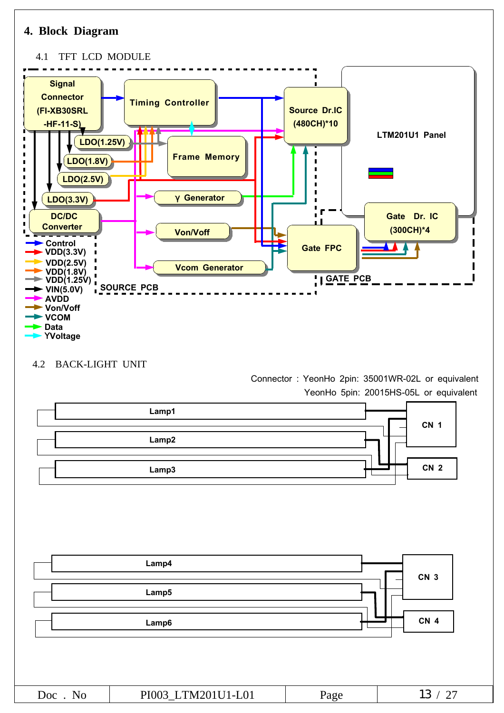



| ЮC<br>$\sim$ $\sim$ $\sim$ | __ | $\sim$ |
|----------------------------|----|--------|
|                            |    |        |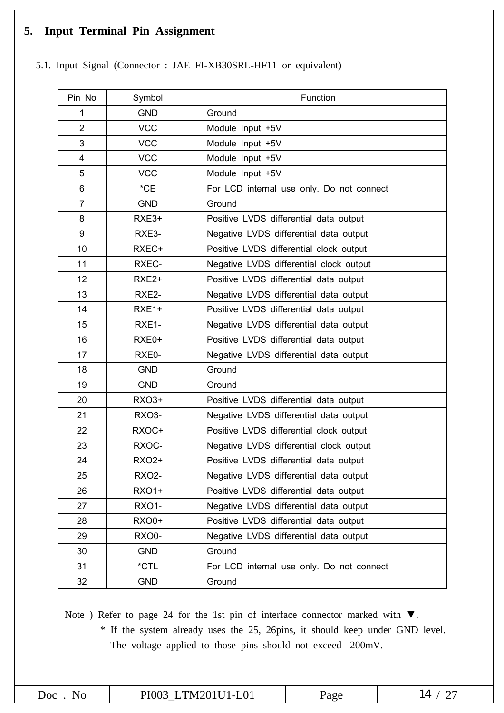# **5. Input Terminal Pin Assignment**

5.1. Input Signal (Connector : JAE FI-XB30SRL-HF11 or equivalent)

| Pin No         | Symbol            | Function                                  |
|----------------|-------------------|-------------------------------------------|
| 1              | <b>GND</b>        | Ground                                    |
| $\overline{2}$ | <b>VCC</b>        | Module Input +5V                          |
| 3              | <b>VCC</b>        | Module Input +5V                          |
| $\overline{4}$ | <b>VCC</b>        | Module Input +5V                          |
| 5              | <b>VCC</b>        | Module Input +5V                          |
| 6              | $^{\star}$ CE     | For LCD internal use only. Do not connect |
| $\overline{7}$ | <b>GND</b>        | Ground                                    |
| 8              | RXE3+             | Positive LVDS differential data output    |
| 9              | RXE3-             | Negative LVDS differential data output    |
| 10             | RXEC+             | Positive LVDS differential clock output   |
| 11             | RXEC-             | Negative LVDS differential clock output   |
| 12             | RXE <sub>2+</sub> | Positive LVDS differential data output    |
| 13             | RXE2-             | Negative LVDS differential data output    |
| 14             | RXE1+             | Positive LVDS differential data output    |
| 15             | RXE1-             | Negative LVDS differential data output    |
| 16             | RXE0+             | Positive LVDS differential data output    |
| 17             | RXE0-             | Negative LVDS differential data output    |
| 18             | <b>GND</b>        | Ground                                    |
| 19             | <b>GND</b>        | Ground                                    |
| 20             | <b>RXO3+</b>      | Positive LVDS differential data output    |
| 21             | RXO3-             | Negative LVDS differential data output    |
| 22             | RXOC+             | Positive LVDS differential clock output   |
| 23             | RXOC-             | Negative LVDS differential clock output   |
| 24             | <b>RXO2+</b>      | Positive LVDS differential data output    |
| 25             | <b>RXO2-</b>      | Negative LVDS differential data output    |
| 26             | <b>RXO1+</b>      | Positive LVDS differential data output    |
| 27             | <b>RXO1-</b>      | Negative LVDS differential data output    |
| 28             | <b>RXO0+</b>      | Positive LVDS differential data output    |
| 29             | RXO0-             | Negative LVDS differential data output    |
| 30             | <b>GND</b>        | Ground                                    |
| 31             | *CTL              | For LCD internal use only. Do not connect |
| 32             | <b>GND</b>        | Ground                                    |

Note ) Refer to page 24 for the 1st pin of interface connector marked with ▼. \* If the system already uses the 25, 26pins, it should keep under GND level. The voltage applied to those pins should not exceed -200mV.

| 20c<br>N.<br>. . | `N⁄I<br>--<br>$\overline{\phantom{a}}$ | $\overline{\phantom{0}}$ |
|------------------|----------------------------------------|--------------------------|
|                  |                                        |                          |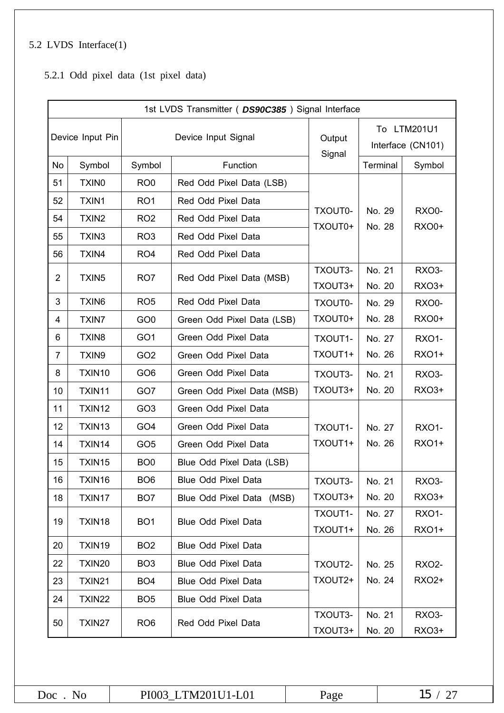# 5.2 LVDS Interface(1)

5.2.1 Odd pixel data (1st pixel data)

|                  | 1st LVDS Transmitter ( DS90C385) Signal Interface |                 |                            |                    |                                  |                       |
|------------------|---------------------------------------------------|-----------------|----------------------------|--------------------|----------------------------------|-----------------------|
| Device Input Pin |                                                   |                 | Device Input Signal        | Output             | To LTM201U1<br>Interface (CN101) |                       |
| No               | Symbol                                            | Symbol          | Function                   | Signal             | Terminal                         | Symbol                |
| 51               | <b>TXINO</b>                                      | RO <sub>0</sub> | Red Odd Pixel Data (LSB)   |                    |                                  |                       |
| 52               | TXIN1                                             | RO <sub>1</sub> | Red Odd Pixel Data         |                    |                                  |                       |
| 54               | TXIN2                                             | RO <sub>2</sub> | Red Odd Pixel Data         | TXOUT0-<br>TXOUT0+ | No. 29<br>No. 28                 | RXO0-<br><b>RXO0+</b> |
| 55               | TXIN3                                             | RO <sub>3</sub> | Red Odd Pixel Data         |                    |                                  |                       |
| 56               | TXIN4                                             | RO <sub>4</sub> | Red Odd Pixel Data         |                    |                                  |                       |
| $\overline{2}$   | TXIN5                                             | RO <sub>7</sub> | Red Odd Pixel Data (MSB)   | TXOUT3-            | No. 21                           | RXO3-                 |
|                  |                                                   |                 |                            | TXOUT3+            | No. 20                           | <b>RXO3+</b>          |
| 3                | <b>TXIN6</b>                                      | RO <sub>5</sub> | Red Odd Pixel Data         | TXOUT0-            | No. 29                           | RXO0-                 |
| 4                | <b>TXIN7</b>                                      | GO <sub>0</sub> | Green Odd Pixel Data (LSB) | TXOUT0+            | No. 28                           | <b>RXO0+</b>          |
| 6                | TXIN <sub>8</sub>                                 | GO <sub>1</sub> | Green Odd Pixel Data       | TXOUT1-            | No. 27                           | <b>RXO1-</b>          |
| $\overline{7}$   | TXIN9                                             | GO <sub>2</sub> | Green Odd Pixel Data       | TXOUT1+            | No. 26                           | <b>RXO1+</b>          |
| 8                | TXIN10                                            | GO <sub>6</sub> | Green Odd Pixel Data       | TXOUT3-            | No. 21                           | RXO3-                 |
| 10               | TXIN11                                            | GO7             | Green Odd Pixel Data (MSB) | TXOUT3+            | No. 20                           | <b>RXO3+</b>          |
| 11               | TXIN12                                            | GO <sub>3</sub> | Green Odd Pixel Data       |                    |                                  |                       |
| 12               | TXIN13                                            | GO <sub>4</sub> | Green Odd Pixel Data       | TXOUT1-            | No. 27                           | <b>RXO1-</b>          |
| 14               | TXIN14                                            | GO <sub>5</sub> | Green Odd Pixel Data       | TXOUT1+            | No. 26                           | <b>RXO1+</b>          |
| 15               | TXIN15                                            | BO <sub>0</sub> | Blue Odd Pixel Data (LSB)  |                    |                                  |                       |
| 16               | TXIN16                                            | BO <sub>6</sub> | Blue Odd Pixel Data        | TXOUT3-            | No. 21                           | <b>RXO3-</b>          |
| 18               | TXIN17                                            | BO <sub>7</sub> | Blue Odd Pixel Data (MSB)  | TXOUT3+            | No. 20                           | RXO3+                 |
| 19               | TXIN18                                            | BO <sub>1</sub> | Blue Odd Pixel Data        | TXOUT1-            | No. 27                           | <b>RXO1-</b>          |
|                  |                                                   |                 |                            | TXOUT1+            | No. 26                           | <b>RXO1+</b>          |
| 20               | TXIN19                                            | BO <sub>2</sub> | Blue Odd Pixel Data        |                    |                                  |                       |
| 22               | TXIN20                                            | BO <sub>3</sub> | Blue Odd Pixel Data        | TXOUT2-            | No. 25                           | <b>RXO2-</b>          |
| 23               | TXIN21                                            | BO <sub>4</sub> | Blue Odd Pixel Data        | TXOUT2+            | No. 24                           | <b>RXO2+</b>          |
| 24               | TXIN22                                            | BO <sub>5</sub> | Blue Odd Pixel Data        |                    |                                  |                       |
| 50               | TXIN27                                            | RO <sub>6</sub> | Red Odd Pixel Data         | TXOUT3-            | No. 21                           | RXO3-                 |
|                  |                                                   |                 |                            | TXOUT3+            | No. 20                           | <b>RXO3+</b>          |

| Doc<br>NΟ | PI003 LTM201U1-L01 | Page |  |
|-----------|--------------------|------|--|
|-----------|--------------------|------|--|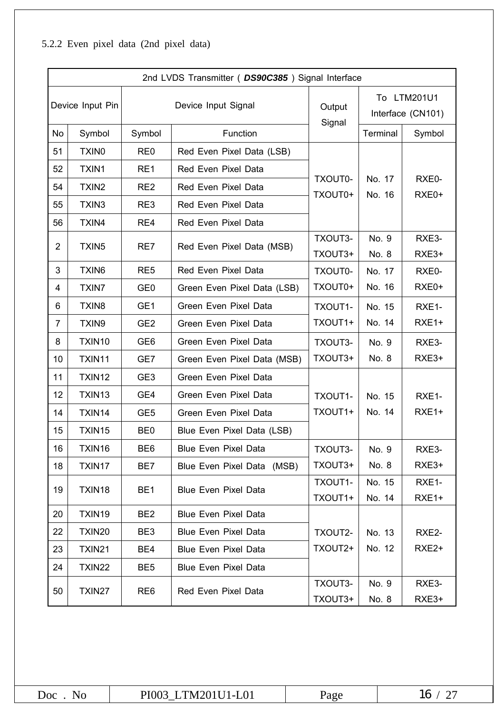# 5.2.2 Even pixel data (2nd pixel data)

|                  | 2nd LVDS Transmitter ( DS90C385) Signal Interface |                 |                             |                    |                                  |                   |
|------------------|---------------------------------------------------|-----------------|-----------------------------|--------------------|----------------------------------|-------------------|
| Device Input Pin |                                                   |                 | Device Input Signal         |                    | To LTM201U1<br>Interface (CN101) |                   |
| No               | Symbol                                            | Symbol          | Function                    | Signal             | Terminal                         | Symbol            |
| 51               | <b>TXINO</b>                                      | RE <sub>0</sub> | Red Even Pixel Data (LSB)   |                    |                                  |                   |
| 52               | <b>TXIN1</b>                                      | RE1             | Red Even Pixel Data         |                    |                                  |                   |
| 54               | TXIN2                                             | RE <sub>2</sub> | Red Even Pixel Data         | TXOUT0-<br>TXOUT0+ | No. 17<br>No. 16                 | RXE0-<br>RXE0+    |
| 55               | TXIN3                                             | RE3             | Red Even Pixel Data         |                    |                                  |                   |
| 56               | TXIN4                                             | RE4             | Red Even Pixel Data         |                    |                                  |                   |
| $\overline{2}$   | TXIN <sub>5</sub>                                 | RE7             | Red Even Pixel Data (MSB)   | TXOUT3-            | No. 9                            | RXE3-             |
|                  |                                                   |                 |                             | TXOUT3+            | No. 8                            | RXE3+             |
| 3                | TXIN6                                             | RE <sub>5</sub> | Red Even Pixel Data         | TXOUT0-            | No. 17                           | RXE0-             |
| 4                | <b>TXIN7</b>                                      | GE <sub>0</sub> | Green Even Pixel Data (LSB) | TXOUT0+            | No. 16                           | RXE0+             |
| 6                | TXIN8                                             | GE1             | Green Even Pixel Data       | TXOUT1-            | No. 15                           | RXE1-             |
| 7                | TXIN9                                             | GE <sub>2</sub> | Green Even Pixel Data       | TXOUT1+            | No. 14                           | RXE1+             |
| 8                | TXIN10                                            | GE <sub>6</sub> | Green Even Pixel Data       | TXOUT3-            | No. 9                            | RXE3-             |
| 10               | TXIN11                                            | GE7             | Green Even Pixel Data (MSB) | TXOUT3+            | No. 8                            | RXE3+             |
| 11               | TXIN12                                            | GE <sub>3</sub> | Green Even Pixel Data       |                    |                                  |                   |
| 12               | TXIN13                                            | GE4             | Green Even Pixel Data       | TXOUT1-            | No. 15                           | RXE1-             |
| 14               | TXIN14                                            | GE <sub>5</sub> | Green Even Pixel Data       | TXOUT1+            | No. 14                           | RXE1+             |
| 15               | TXIN15                                            | BE <sub>0</sub> | Blue Even Pixel Data (LSB)  |                    |                                  |                   |
| 16               | TXIN16                                            | BE6             | <b>Blue Even Pixel Data</b> | TXOUT3-            | No. 9                            | RXE3-             |
| 18               | TXIN17                                            | BE7             | Blue Even Pixel Data (MSB)  | TXOUT3+            | No. 8                            | RXE3+             |
| 19               | TXIN18                                            | BE <sub>1</sub> | <b>Blue Even Pixel Data</b> | TXOUT1-            | No. 15                           | RXE1-             |
|                  |                                                   |                 |                             | TXOUT1+            | No. 14                           | RXE1+             |
| 20               | TXIN19                                            | BE <sub>2</sub> | <b>Blue Even Pixel Data</b> |                    |                                  |                   |
| 22               | TXIN20                                            | BE3             | <b>Blue Even Pixel Data</b> | TXOUT2-            | No. 13                           | RXE2-             |
| 23               | <b>TXIN21</b>                                     | BE4             | <b>Blue Even Pixel Data</b> | TXOUT2+            | No. 12                           | RXE <sub>2+</sub> |
| 24               | <b>TXIN22</b>                                     | BE <sub>5</sub> | <b>Blue Even Pixel Data</b> |                    |                                  |                   |
| 50               | TXIN27                                            | RE <sub>6</sub> | Red Even Pixel Data         | TXOUT3-            | No. 9                            | RXE3-             |
|                  |                                                   |                 |                             | TXOUT3+            | No. 8                            | RXE3+             |

| Doc<br>NΟ | PI003 LTM201U1-L01 | Page | 16 |
|-----------|--------------------|------|----|
|-----------|--------------------|------|----|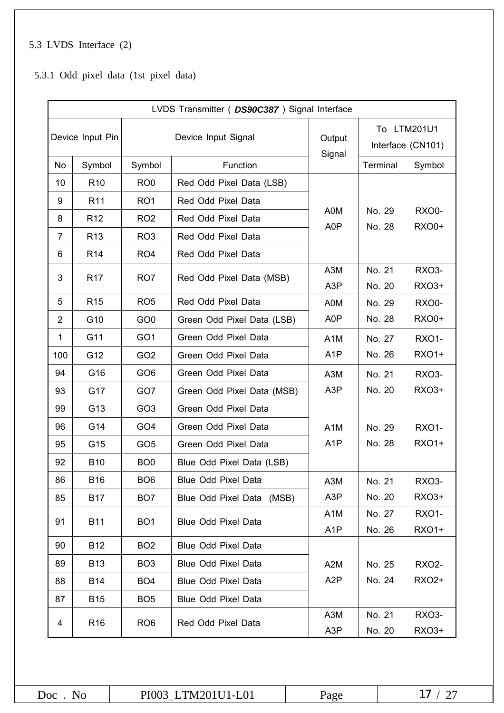# 5.3 LVDS Interface (2)

5.3.1 Odd pixel data (1st pixel data)

|                  | LVDS Transmitter ( DS90C387) Signal Interface |                 |                            |                         |                                  |                       |  |  |  |  |  |
|------------------|-----------------------------------------------|-----------------|----------------------------|-------------------------|----------------------------------|-----------------------|--|--|--|--|--|
| Device Input Pin |                                               |                 | Device Input Signal        | Output<br>Signal        | To LTM201U1<br>Interface (CN101) |                       |  |  |  |  |  |
| No               | Symbol                                        | Symbol          | Function                   |                         | Terminal                         | Symbol                |  |  |  |  |  |
| 10               | R <sub>10</sub>                               | RO <sub>0</sub> | Red Odd Pixel Data (LSB)   |                         |                                  |                       |  |  |  |  |  |
| 9                | R <sub>11</sub>                               | RO <sub>1</sub> | Red Odd Pixel Data         |                         |                                  |                       |  |  |  |  |  |
| 8                | R <sub>12</sub>                               | RO <sub>2</sub> | Red Odd Pixel Data         | A0M<br>A <sub>0</sub> P | No. 29<br>No. 28                 | RXO0-<br><b>RXO0+</b> |  |  |  |  |  |
| 7                | R <sub>13</sub>                               | RO <sub>3</sub> | Red Odd Pixel Data         |                         |                                  |                       |  |  |  |  |  |
| 6                | R <sub>14</sub>                               | RO <sub>4</sub> | Red Odd Pixel Data         |                         |                                  |                       |  |  |  |  |  |
| 3                | R <sub>17</sub>                               | RO <sub>7</sub> | Red Odd Pixel Data (MSB)   | A3M                     | No. 21                           | RXO3-                 |  |  |  |  |  |
|                  |                                               |                 |                            | A <sub>3</sub> P        | No. 20                           | <b>RXO3+</b>          |  |  |  |  |  |
| 5                | R <sub>15</sub>                               | RO <sub>5</sub> | Red Odd Pixel Data         | A0M                     | No. 29                           | <b>RXO0-</b>          |  |  |  |  |  |
| $\overline{2}$   | G10                                           | GO <sub>0</sub> | Green Odd Pixel Data (LSB) | A0P                     | No. 28                           | <b>RXO0+</b>          |  |  |  |  |  |
| $\mathbf 1$      | G11                                           | GO <sub>1</sub> | Green Odd Pixel Data       | A <sub>1</sub> M        | No. 27                           | <b>RXO1-</b>          |  |  |  |  |  |
| 100              | G12                                           | GO <sub>2</sub> | Green Odd Pixel Data       | A <sub>1</sub> P        | No. 26                           | <b>RXO1+</b>          |  |  |  |  |  |
| 94               | G16                                           | GO <sub>6</sub> | Green Odd Pixel Data       | A3M                     | No. 21                           | <b>RXO3-</b>          |  |  |  |  |  |
| 93               | G17                                           | GO7             | Green Odd Pixel Data (MSB) | A <sub>3</sub> P        | No. 20                           | RXO3+                 |  |  |  |  |  |
| 99               | G13                                           | GO <sub>3</sub> | Green Odd Pixel Data       |                         |                                  |                       |  |  |  |  |  |
| 96               | G14                                           | GO <sub>4</sub> | Green Odd Pixel Data       | A <sub>1</sub> M        | No. 29                           | <b>RXO1-</b>          |  |  |  |  |  |
| 95               | G15                                           | GO <sub>5</sub> | Green Odd Pixel Data       | A <sub>1</sub> P        | No. 28                           | <b>RXO1+</b>          |  |  |  |  |  |
| 92               | <b>B10</b>                                    | BO <sub>0</sub> | Blue Odd Pixel Data (LSB)  |                         |                                  |                       |  |  |  |  |  |
| 86               | B16                                           | BO <sub>6</sub> | Blue Odd Pixel Data        | A3M                     | No. 21                           | RXO3-                 |  |  |  |  |  |
| 85               | <b>B17</b>                                    | BO <sub>7</sub> | Blue Odd Pixel Data (MSB)  | A <sub>3</sub> P        | No. 20                           | RXO3+                 |  |  |  |  |  |
| 91               | <b>B11</b>                                    | BO <sub>1</sub> | Blue Odd Pixel Data        | A <sub>1</sub> M        | No. 27                           | <b>RXO1-</b>          |  |  |  |  |  |
|                  |                                               |                 |                            | A <sub>1</sub> P        | No. 26                           | <b>RXO1+</b>          |  |  |  |  |  |
| 90               | <b>B12</b>                                    | BO <sub>2</sub> | Blue Odd Pixel Data        |                         |                                  |                       |  |  |  |  |  |
| 89               | <b>B13</b>                                    | BO <sub>3</sub> | Blue Odd Pixel Data        | A <sub>2</sub> M        | No. 25                           | <b>RXO2-</b>          |  |  |  |  |  |
| 88               | B14                                           | BO <sub>4</sub> | Blue Odd Pixel Data        | A <sub>2</sub> P        | No. 24                           | <b>RXO2+</b>          |  |  |  |  |  |
| 87               | <b>B15</b>                                    | BO <sub>5</sub> | Blue Odd Pixel Data        |                         |                                  |                       |  |  |  |  |  |
| 4                | R <sub>16</sub>                               | RO <sub>6</sub> | Red Odd Pixel Data         | A3M                     | No. 21                           | RXO3-                 |  |  |  |  |  |
|                  |                                               |                 |                            | A3P                     | No. 20                           | <b>RXO3+</b>          |  |  |  |  |  |

| D0C<br>NO | LTM201U1-L01<br>PI003 | 'age |  |
|-----------|-----------------------|------|--|
|-----------|-----------------------|------|--|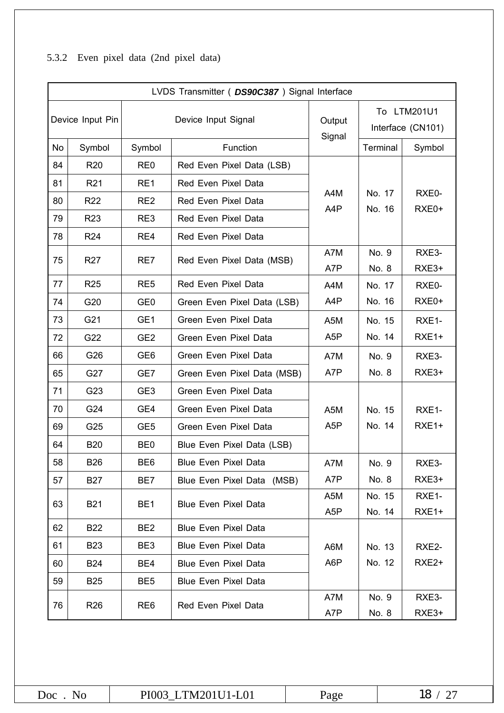# 5.3.2 Even pixel data (2nd pixel data)

|    | LVDS Transmitter ( DS90C387) Signal Interface |                 |                             |                  |                                  |                   |  |  |  |  |
|----|-----------------------------------------------|-----------------|-----------------------------|------------------|----------------------------------|-------------------|--|--|--|--|
|    | Device Input Pin                              |                 | Device Input Signal         | Output<br>Signal | To LTM201U1<br>Interface (CN101) |                   |  |  |  |  |
| No | Symbol                                        | Symbol          | Function                    |                  | Terminal                         | Symbol            |  |  |  |  |
| 84 | <b>R20</b>                                    | RE <sub>0</sub> | Red Even Pixel Data (LSB)   |                  |                                  |                   |  |  |  |  |
| 81 | R <sub>21</sub>                               | RE1             | Red Even Pixel Data         |                  |                                  |                   |  |  |  |  |
| 80 | <b>R22</b>                                    | RE <sub>2</sub> | Red Even Pixel Data         | A4M<br>A4P       | No. 17<br>No. 16                 | RXE0-<br>RXE0+    |  |  |  |  |
| 79 | R <sub>23</sub>                               | RE3             | Red Even Pixel Data         |                  |                                  |                   |  |  |  |  |
| 78 | R <sub>24</sub>                               | RE4             | Red Even Pixel Data         |                  |                                  |                   |  |  |  |  |
| 75 | R <sub>27</sub>                               | RE7             | Red Even Pixel Data (MSB)   | A7M              | No. 9                            | RXE3-             |  |  |  |  |
|    |                                               |                 |                             | A7P              | No. 8                            | RXE3+             |  |  |  |  |
| 77 | <b>R25</b>                                    | RE <sub>5</sub> | Red Even Pixel Data         | A4M              | No. 17                           | RXE0-             |  |  |  |  |
| 74 | G20                                           | GE <sub>0</sub> | Green Even Pixel Data (LSB) | A4P              | No. 16                           | RXE0+             |  |  |  |  |
| 73 | G21                                           | GE <sub>1</sub> | Green Even Pixel Data       | A <sub>5</sub> M | No. 15                           | RXE1-             |  |  |  |  |
| 72 | G22                                           | GE <sub>2</sub> | Green Even Pixel Data       | A <sub>5</sub> P | No. 14                           | $RXE1+$           |  |  |  |  |
| 66 | G26                                           | GE <sub>6</sub> | Green Even Pixel Data       | A7M              | No. 9                            | RXE3-             |  |  |  |  |
| 65 | G27                                           | GE7             | Green Even Pixel Data (MSB) | A7P              | No. 8                            | RXE3+             |  |  |  |  |
| 71 | G23                                           | GE <sub>3</sub> | Green Even Pixel Data       |                  |                                  |                   |  |  |  |  |
| 70 | G24                                           | GE4             | Green Even Pixel Data       | A <sub>5</sub> M | No. 15                           | RXE1-             |  |  |  |  |
| 69 | G25                                           | GE <sub>5</sub> | Green Even Pixel Data       | A <sub>5</sub> P | No. 14                           | RXE1+             |  |  |  |  |
| 64 | <b>B20</b>                                    | BE <sub>0</sub> | Blue Even Pixel Data (LSB)  |                  |                                  |                   |  |  |  |  |
| 58 | B26                                           | BE6             | <b>Blue Even Pixel Data</b> | A7M              | No. 9                            | RXE3-             |  |  |  |  |
| 57 | <b>B27</b>                                    | BE7             | Blue Even Pixel Data (MSB)  | A7P              | No. 8                            | RXE3+             |  |  |  |  |
| 63 | <b>B21</b>                                    | BE <sub>1</sub> | Blue Even Pixel Data        | A5M              | No. 15                           | RXE1-             |  |  |  |  |
|    |                                               |                 |                             | A <sub>5</sub> P | No. 14                           | RXE1+             |  |  |  |  |
| 62 | <b>B22</b>                                    | BE <sub>2</sub> | <b>Blue Even Pixel Data</b> |                  |                                  |                   |  |  |  |  |
| 61 | <b>B23</b>                                    | BE3             | Blue Even Pixel Data        | A6M              | No. 13                           | RXE2-             |  |  |  |  |
| 60 | <b>B24</b>                                    | BE4             | Blue Even Pixel Data        | A6P              | No. 12                           | RXE <sub>2+</sub> |  |  |  |  |
| 59 | <b>B25</b>                                    | BE <sub>5</sub> | <b>Blue Even Pixel Data</b> |                  |                                  |                   |  |  |  |  |
| 76 | R <sub>26</sub>                               | RE <sub>6</sub> | Red Even Pixel Data         | A7M              | No. 9                            | RXE3-             |  |  |  |  |
|    |                                               |                 | A7P                         | No. 8            | RXE3+                            |                   |  |  |  |  |

| Doc | LTM201U1-L01<br>PI003 | 'age | - |
|-----|-----------------------|------|---|
|-----|-----------------------|------|---|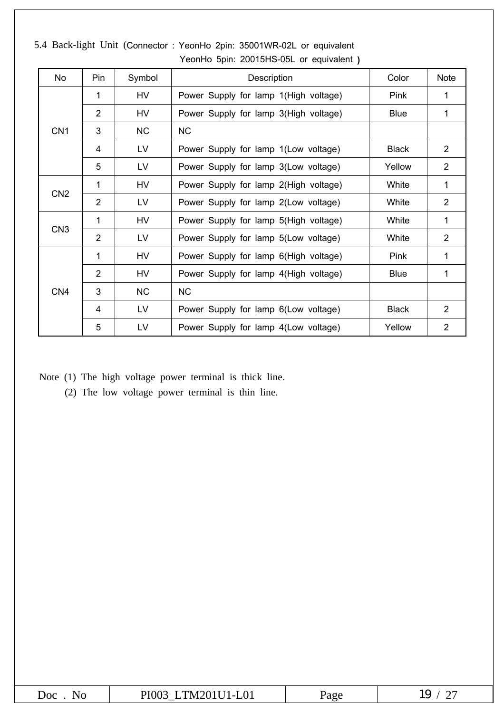| No              | Pin                         | Symbol    | Description                           | Color        | <b>Note</b>    |
|-----------------|-----------------------------|-----------|---------------------------------------|--------------|----------------|
|                 | 1                           | HV        | Power Supply for lamp 1(High voltage) | Pink         | 1              |
|                 | 2                           | HV        | Power Supply for lamp 3(High voltage) | <b>Blue</b>  | 1              |
| CN <sub>1</sub> | 3                           | <b>NC</b> | <b>NC</b>                             |              |                |
|                 | 4                           | LV        | Power Supply for lamp 1(Low voltage)  | <b>Black</b> | $\overline{2}$ |
|                 | 5                           | LV        | Power Supply for lamp 3(Low voltage)  | Yellow       | $\overline{2}$ |
|                 | 1                           | HV        | Power Supply for lamp 2(High voltage) | White        | 1              |
| CN <sub>2</sub> | $\overline{2}$<br><b>LV</b> |           | Power Supply for lamp 2(Low voltage)  | White        | $\overline{2}$ |
|                 | 1                           | HV        | Power Supply for lamp 5(High voltage) | White        | 1              |
| CN <sub>3</sub> | 2                           | LV        | Power Supply for lamp 5(Low voltage)  | White        | $\overline{2}$ |
|                 | 1                           | HV        | Power Supply for lamp 6(High voltage) | Pink         | 1              |
|                 | 2                           | HV        | Power Supply for lamp 4(High voltage) | <b>Blue</b>  | 1              |
| CN <sub>4</sub> | 3                           | <b>NC</b> | <b>NC</b>                             |              |                |
|                 | $\overline{4}$              | LV.       | Power Supply for lamp 6(Low voltage)  | <b>Black</b> | $\overline{2}$ |
|                 | 5                           | LV        | Power Supply for lamp 4(Low voltage)  | Yellow       | $\overline{2}$ |

5.4 Back-light Unit (Connector : YeonHo 2pin: 35001WR-02L or equivalent YeonHo 5pin: 20015HS-05L or equivalent **)**

Note (1) The high voltage power terminal is thick line.

(2) The low voltage power terminal is thin line.

| $\overline{\text{Cov}}$<br>חורו | $\sim 01$<br>TM .<br>PIOV<br>. | $\sim$ $\sim$ $\sim$<br>uz | ∸∽ |
|---------------------------------|--------------------------------|----------------------------|----|
|---------------------------------|--------------------------------|----------------------------|----|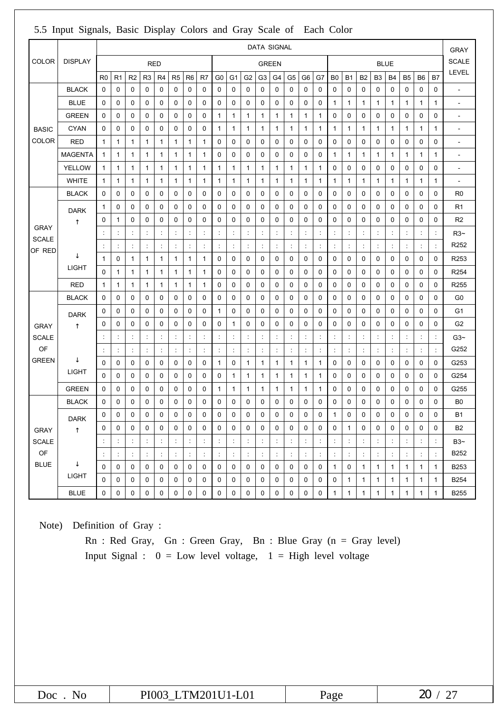|                                          |                |                      | <b>DATA SIGNAL</b>   |                |                |                      |                      |                      | <b>GRAY</b>          |                      |                      |                      |                      |                      |                      |                      |                      |                |                      |                |                      |                      |                      |                      |                |                          |
|------------------------------------------|----------------|----------------------|----------------------|----------------|----------------|----------------------|----------------------|----------------------|----------------------|----------------------|----------------------|----------------------|----------------------|----------------------|----------------------|----------------------|----------------------|----------------|----------------------|----------------|----------------------|----------------------|----------------------|----------------------|----------------|--------------------------|
| <b>COLOR</b>                             | <b>DISPLAY</b> |                      |                      |                |                | <b>RED</b>           |                      |                      |                      |                      |                      |                      | <b>GREEN</b>         |                      |                      |                      |                      |                |                      |                |                      | <b>BLUE</b>          |                      |                      |                | <b>SCALE</b>             |
|                                          |                | R <sub>0</sub>       | R <sub>1</sub>       | R <sub>2</sub> | R <sub>3</sub> | R4                   | R <sub>5</sub>       | R <sub>6</sub>       | R <sub>7</sub>       | G <sub>0</sub>       | G <sub>1</sub>       | G <sub>2</sub>       | G <sub>3</sub>       | G4                   | G5                   | G <sub>6</sub>       | G7                   | B <sub>0</sub> | <b>B1</b>            | <b>B2</b>      | B <sub>3</sub>       | <b>B4</b>            | B <sub>5</sub>       | B <sub>6</sub>       | B7             | LEVEL                    |
|                                          | <b>BLACK</b>   | 0                    | 0                    | 0              | 0              | 0                    | 0                    | 0                    | 0                    | 0                    | 0                    | 0                    | 0                    | 0                    | 0                    | 0                    | 0                    | 0              | 0                    | 0              | 0                    | 0                    | 0                    | 0                    | 0              | $\overline{a}$           |
|                                          | <b>BLUE</b>    | 0                    | 0                    | 0              | 0              | 0                    | 0                    | 0                    | 0                    | 0                    | 0                    | 0                    | 0                    | 0                    | 0                    | 0                    | 0                    | 1              | 1                    | 1              | 1                    | $\mathbf{1}$         | 1                    | $\mathbf{1}$         | 1              | $\overline{\phantom{a}}$ |
|                                          | <b>GREEN</b>   | 0                    | 0                    | 0              | 0              | 0                    | 0                    | 0                    | 0                    | 1                    | 1                    | 1                    | $\mathbf{1}$         | 1                    | 1                    | 1                    | 1                    | 0              | 0                    | 0              | 0                    | 0                    | 0                    | 0                    | 0              | $\overline{\phantom{a}}$ |
| <b>BASIC</b>                             | CYAN           | 0                    | 0                    | 0              | 0              | 0                    | 0                    | 0                    | 0                    | 1                    | 1                    | 1                    | 1                    | 1                    | 1                    | 1                    | 1                    | 1              | 1                    | 1              | 1                    | 1                    | 1                    | 1                    | 1              | $\overline{\phantom{a}}$ |
| <b>COLOR</b>                             | <b>RED</b>     | $\mathbf{1}$         | 1                    | $\mathbf{1}$   | 1              | $\mathbf{1}$         | 1                    | 1                    | 1                    | 0                    | 0                    | 0                    | 0                    | 0                    | 0                    | 0                    | 0                    | 0              | 0                    | 0              | 0                    | 0                    | 0                    | 0                    | 0              | $\overline{\phantom{a}}$ |
|                                          | <b>MAGENTA</b> | $\mathbf{1}$         | 1                    | 1              | 1              | $\mathbf{1}$         | 1                    | $\mathbf{1}$         | 1                    | 0                    | 0                    | 0                    | 0                    | 0                    | 0                    | 0                    | 0                    | 1              | 1                    | 1              | 1                    | $\mathbf{1}$         | 1                    | 1                    | 1              | $\overline{\phantom{a}}$ |
|                                          | <b>YELLOW</b>  | $\mathbf{1}$         | 1                    | $\mathbf{1}$   | 1              | $\mathbf{1}$         | 1                    | 1                    | 1                    | 1                    | 1                    | 1                    | $\mathbf{1}$         | 1                    | 1                    | 1                    | 1                    | 0              | 0                    | 0              | 0                    | 0                    | 0                    | 0                    | 0              | $\overline{\phantom{a}}$ |
|                                          | <b>WHITE</b>   | 1                    | 1                    | 1              | 1              | $\mathbf{1}$         | 1                    | 1                    | 1                    | 1                    | 1                    | 1                    | 1                    | 1                    | 1                    | 1                    | 1                    | 1              | 1                    | 1              | 1                    | 1                    | 1                    | 1                    | 1              | $\blacksquare$           |
|                                          | <b>BLACK</b>   | 0                    | 0                    | 0              | 0              | 0                    | 0                    | 0                    | 0                    | 0                    | 0                    | 0                    | 0                    | 0                    | 0                    | 0                    | 0                    | 0              | 0                    | 0              | 0                    | 0                    | 0                    | 0                    | 0              | R <sub>0</sub>           |
|                                          | <b>DARK</b>    | 1                    | 0                    | 0              | 0              | 0                    | 0                    | 0                    | 0                    | 0                    | 0                    | 0                    | 0                    | 0                    | 0                    | 0                    | 0                    | 0              | 0                    | 0              | 0                    | 0                    | 0                    | 0                    | 0              | R <sub>1</sub>           |
|                                          |                | 0                    | 1                    | 0              | 0              | 0                    | 0                    | 0                    | $\mathbf 0$          | 0                    | 0                    | 0                    | 0                    | $\mathbf 0$          | 0                    | 0                    | 0                    | 0              | 0                    | 0              | $\mathbf 0$          | $\mathbf 0$          | 0                    | 0                    | 0              | R <sub>2</sub>           |
| <b>GRAY</b><br><b>SCALE</b>              |                | ÷                    | ÷                    | ÷              | ÷              | $\ddot{\cdot}$       | ÷                    | ÷                    | ÷                    | ÷                    | ÷                    | ÷                    | ÷                    | ÷                    | ÷                    | ÷                    | ÷                    | ÷              | $\ddot{\phantom{a}}$ | ÷              | ÷                    | ÷                    | $\ddot{\cdot}$       | $\ddot{\cdot}$       | ÷              | $R3-$                    |
| OF RED                                   |                | ÷                    | $\ddot{\phantom{a}}$ | ÷              | $\ddot{\cdot}$ | $\ddot{\cdot}$       | ÷                    | ÷                    | $\ddot{\phantom{a}}$ | ÷                    | $\ddot{\cdot}$       | ÷                    | $\ddot{\phantom{a}}$ | $\ddot{\cdot}$       | ÷                    | ÷                    | $\ddot{\phantom{a}}$ | ÷              | $\ddot{\cdot}$       | ÷              | ÷                    | $\ddot{\cdot}$       | $\ddot{\phantom{a}}$ | $\ddot{\phantom{a}}$ | $\ddot{\cdot}$ | R <sub>252</sub>         |
|                                          |                | 1                    | 0                    | 1              | 1              | $\mathbf{1}$         | 1                    | 1                    | 1                    | 0                    | 0                    | 0                    | 0                    | 0                    | 0                    | 0                    | 0                    | 0              | 0                    | 0              | 0                    | 0                    | 0                    | 0                    | 0              | R253                     |
|                                          | <b>LIGHT</b>   | 0                    | 1                    | $\mathbf{1}$   | 1              | $\mathbf{1}$         | 1                    | 1                    | 1                    | 0                    | 0                    | 0                    | 0                    | 0                    | 0                    | 0                    | 0                    | 0              | 0                    | 0              | 0                    | 0                    | 0                    | 0                    | 0              | R <sub>254</sub>         |
|                                          | <b>RED</b>     | 1                    | 1                    | $\mathbf{1}$   | 1              | $\mathbf{1}$         | 1                    | 1                    | 1                    | 0                    | 0                    | 0                    | 0                    | 0                    | 0                    | 0                    | 0                    | 0              | 0                    | 0              | 0                    | $\mathbf 0$          | 0                    | 0                    | 0              | R255                     |
|                                          | <b>BLACK</b>   | 0                    | 0                    | 0              | 0              | 0                    | 0                    | 0                    | 0                    | 0                    | 0                    | 0                    | 0                    | 0                    | 0                    | 0                    | 0                    | 0              | 0                    | 0              | 0                    | 0                    | 0                    | 0                    | 0              | G <sub>0</sub>           |
|                                          | <b>DARK</b>    | 0                    | 0                    | 0              | 0              | 0                    | 0                    | 0                    | 0                    | $\mathbf{1}$         | 0                    | 0                    | 0                    | 0                    | 0                    | 0                    | 0                    | 0              | 0                    | 0              | $\mathbf 0$          | $\mathbf 0$          | 0                    | 0                    | 0              | G <sub>1</sub>           |
| <b>GRAY</b>                              |                | 0                    | 0                    | 0              | 0              | 0                    | 0                    | 0                    | $\mathbf 0$          | 0                    | 1                    | 0                    | 0                    | 0                    | 0                    | 0                    | 0                    | 0              | 0                    | 0              | 0                    | 0                    | 0                    | 0                    | 0              | G <sub>2</sub>           |
| <b>SCALE</b>                             |                | ÷                    | ÷                    | ÷              | ÷              | $\ddot{\cdot}$       | ÷                    | ÷                    | ÷                    | ÷                    | $\ddot{\phantom{a}}$ | ÷                    | ÷                    | ÷                    | ÷                    | ÷                    | ÷                    | ÷              | ÷                    | ÷              | ÷                    | ÷                    | $\ddot{\cdot}$       | ÷                    | ÷              | $G3-$                    |
| OF                                       |                |                      | ¢                    | t              | $\ddot{\cdot}$ | $\ddot{\phantom{a}}$ | ÷                    |                      | $\ddot{\phantom{a}}$ | $\ddot{\cdot}$       | $\ddot{\cdot}$       | $\ddot{\phantom{a}}$ | $\ddot{\phantom{a}}$ | $\ddot{\cdot}$       |                      | $\ddot{\cdot}$       |                      | ÷              | $\ddot{\cdot}$       | $\ddot{\cdot}$ | $\ddot{\phantom{a}}$ | $\ddot{\cdot}$       |                      | $\ddot{\cdot}$       | $\ddot{\cdot}$ | G252                     |
| <b>GREEN</b>                             |                | 0                    | 0                    | 0              | 0              | 0                    | 0                    | 0                    | 0                    | 1                    | 0                    | $\mathbf{1}$         | $\mathbf{1}$         | 1                    | $\mathbf{1}$         | 1                    | 1                    | 0              | 0                    | 0              | 0                    | 0                    | 0                    | 0                    | 0              | G253                     |
|                                          | <b>LIGHT</b>   | 0                    | 0                    | 0              | 0              | 0                    | 0                    | 0                    | 0                    | 0                    | 1                    | 1                    | $\mathbf{1}$         | 1                    | 1                    | $\mathbf{1}$         | 1                    | 0              | 0                    | 0              | 0                    | 0                    | 0                    | 0                    | 0              | G254                     |
|                                          | <b>GREEN</b>   | 0                    | 0                    | 0              | 0              | 0                    | 0                    | 0                    | 0                    | $\mathbf{1}$         | 1                    | 1                    | $\mathbf{1}$         | 1                    | 1                    | 1                    | 1                    | 0              | 0                    | 0              | 0                    | 0                    | 0                    | 0                    | 0              | G255                     |
|                                          | <b>BLACK</b>   | 0                    | 0                    | 0              | 0              | 0                    | 0                    | 0                    | 0                    | 0                    | 0                    | 0                    | 0                    | 0                    | 0                    | 0                    | 0                    | 0              | 0                    | 0              | 0                    | 0                    | 0                    | 0                    | 0              | B <sub>0</sub>           |
|                                          | <b>DARK</b>    | 0                    | $\Omega$             | $\Omega$       | 0              | 0                    | 0                    | $\Omega$             | 0                    | 0                    | $\Omega$             | 0                    | $\Omega$             | 0                    | 0                    | 0                    | 0                    | 1              | 0                    | 0              | $\Omega$             | $\mathbf 0$          | 0                    | $\Omega$             | $\Omega$       | <b>B1</b>                |
| <b>GRAY</b>                              |                | 0                    | $\mathbf 0$          | $\mathbf 0$    | $\mathbf 0$    | $\mathbf 0$          | $\mathbf 0$          | 0                    | 0                    | 0                    | $\mathbf 0$          | $\mathbf 0$          | 0                    | $\mathbf 0$          | $\mathbf 0$          | 0                    | 0                    | $\mathbf 0$    | $\mathbf{1}$         | $\mathbf 0$    | 0                    | $\mathbf 0$          | $\mathbf 0$          | 0                    | 0              | <b>B2</b>                |
| <b>SCALE</b>                             |                | $\ddot{\cdot}$       | $\ddot{\phantom{a}}$ | t,             | ÷              | $\ddot{\cdot}$       | ÷                    | ÷                    | $\ddot{\phantom{a}}$ | ÷                    | $\ddot{\cdot}$       | ÷                    | ÷                    | ÷                    | ÷                    | $\ddot{\phantom{a}}$ | $\ddot{\cdot}$       | ÷              | $\ddot{\cdot}$       | ÷              | ÷                    | $\ddot{\phantom{a}}$ | ÷                    | $\ddot{\phantom{a}}$ | ÷              | $B3-$                    |
| $\mathsf{OF}% \left( \mathcal{M}\right)$ |                | $\ddot{\phantom{a}}$ | $\ddot{\phantom{a}}$ | ÷              | ÷              | $\ddot{\phantom{a}}$ | $\ddot{\phantom{a}}$ | $\ddot{\phantom{a}}$ | $\ddot{\cdot}$       | $\ddot{\phantom{a}}$ | $\ddot{\cdot}$       | $\ddot{\phantom{a}}$ | $\ddot{\phantom{a}}$ | $\ddot{\phantom{a}}$ | $\ddot{\phantom{a}}$ | $\ddot{\phantom{a}}$ | ÷                    | t,             | $\ddot{\phantom{a}}$ | t,             | $\ddot{\phantom{a}}$ | $\ddot{\cdot}$       | $\ddot{\cdot}$       | $\ddot{\phantom{a}}$ | $\ddot{\cdot}$ | B252                     |
| <b>BLUE</b>                              |                | 0                    | 0                    | 0              | $\mathbf 0$    | 0                    | 0                    | 0                    | 0                    | $\mathbf 0$          | 0                    | $\mathbf 0$          | 0                    | 0                    | 0                    | 0                    | 0                    | $\mathbf{1}$   | 0                    | $\mathbf{1}$   | $\mathbf{1}$         | $\mathbf{1}$         | $\mathbf{1}$         | $\mathbf{1}$         | $\mathbf{1}$   | B253                     |
|                                          | <b>LIGHT</b>   | $\mathbf 0$          | 0                    | 0              | $\mathsf 0$    | 0                    | 0                    | 0                    | 0                    | $\mathbf 0$          | 0                    | 0                    | 0                    | 0                    | 0                    | 0                    | 0                    | 0              | $\mathbf{1}$         | $\mathbf{1}$   | $\mathbf{1}$         | $\mathbf{1}$         | $\mathbf{1}$         | $\mathbf{1}$         | $\mathbf{1}$   | <b>B254</b>              |
|                                          | <b>BLUE</b>    | $\mathsf{O}\xspace$  | 0                    | 0              | 0              | 0                    | 0                    | 0                    | 0                    | $\mathsf{O}\xspace$  | 0                    | 0                    | $\mathsf{O}\xspace$  | 0                    | $\mathbf 0$          | 0                    | 0                    | $\mathbf{1}$   | $\mathbf{1}$         | $\mathbf{1}$   | $\mathbf{1}$         | $\mathbf{1}$         | $\mathbf{1}$         | $\mathbf{1}$         | $\mathbf{1}$   | B255                     |

## 5.5 Input Signals, Basic Display Colors and Gray Scale of Each Color

Note) Definition of Gray :

Rn : Red Gray, Gn : Green Gray, Bn : Blue Gray (n = Gray level) Input Signal :  $0 = Low$  level voltage,  $1 = High$  level voltage

| Doc<br>No | LTM201U1-L01<br>PI003 | zage | $\alpha$ |
|-----------|-----------------------|------|----------|
|-----------|-----------------------|------|----------|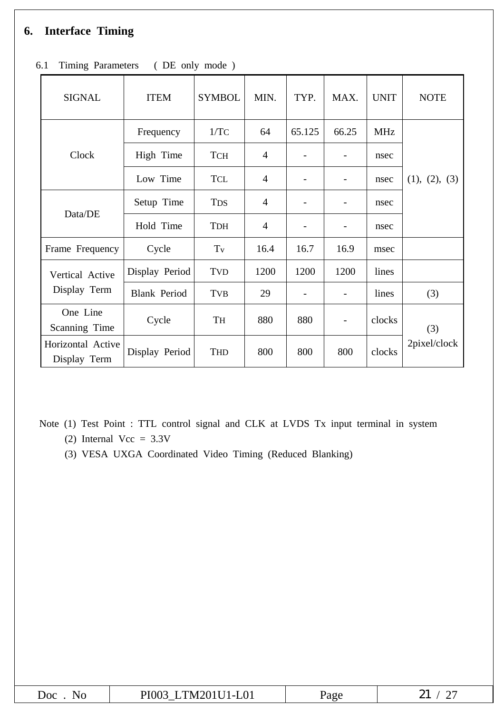# **6. Interface Timing**

| <b>SIGNAL</b>                     | <b>ITEM</b>         | <b>SYMBOL</b>       | MIN.           | TYP.   | MAX.  | <b>UNIT</b> | <b>NOTE</b>   |
|-----------------------------------|---------------------|---------------------|----------------|--------|-------|-------------|---------------|
|                                   | Frequency           | 1/TC                | 64             | 65.125 | 66.25 | <b>MHz</b>  |               |
| Clock                             | High Time           | <b>TCH</b>          | $\overline{4}$ |        |       | nsec        |               |
|                                   | Low Time            | <b>TCL</b>          | $\overline{4}$ |        |       | nsec        | (1), (2), (3) |
|                                   | Setup Time          | <b>TDS</b>          | $\overline{4}$ |        |       | nsec        |               |
| Data/DE                           | Hold Time           | <b>TDH</b>          | $\overline{4}$ |        |       | nsec        |               |
| Frame Frequency                   | Cycle               | $\operatorname{Tv}$ | 16.4           | 16.7   | 16.9  | msec        |               |
| Vertical Active                   | Display Period      | <b>TVD</b>          | 1200           | 1200   | 1200  | lines       |               |
| Display Term                      | <b>Blank Period</b> | <b>TVB</b>          | 29             |        |       | lines       | (3)           |
| One Line<br>Scanning Time         | Cycle               | TH                  | 880            | 880    |       | clocks      | (3)           |
| Horizontal Active<br>Display Term | Display Period      | <b>THD</b>          | 800            | 800    | 800   | clocks      | 2pixel/clock  |

6.1 Timing Parameters ( DE only mode )

Note (1) Test Point : TTL control signal and CLK at LVDS Tx input terminal in system (2) Internal  $Vec = 3.3V$ 

(3) VESA UXGA Coordinated Video Timing (Reduced Blanking)

| ЮC<br>NG. | 1201U1-L01<br>PI003<br>m.<br>'WI | 'age<br>$\sim$ | $\sim$ $\sim$<br>$\sim$<br>$\overline{\phantom{0}}$ |
|-----------|----------------------------------|----------------|-----------------------------------------------------|
|-----------|----------------------------------|----------------|-----------------------------------------------------|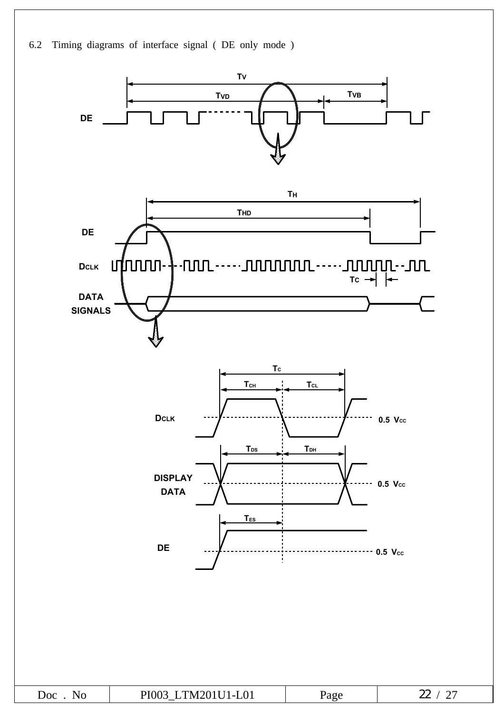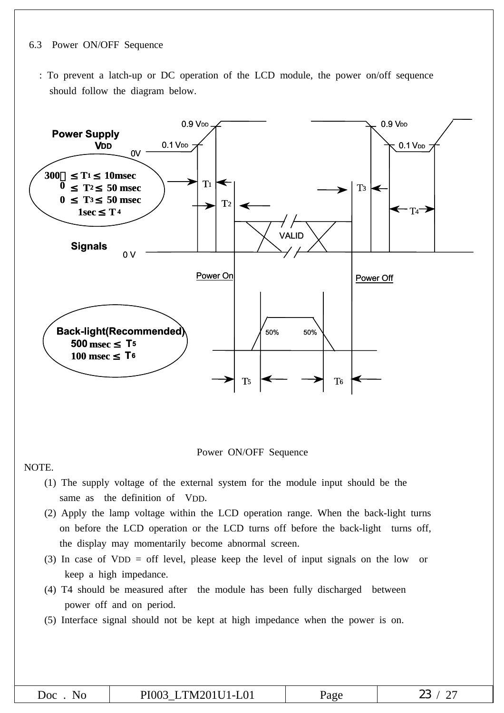#### 6.3 Power ON/OFF Sequence

: To prevent a latch-up or DC operation of the LCD module, the power on/off sequence should follow the diagram below.



Power ON/OFF Sequence

NOTE.

- (1) The supply voltage of the external system for the module input should be the same as the definition of VDD.
- (2) Apply the lamp voltage within the LCD operation range. When the back-light turns on before the LCD operation or the LCD turns off before the back-light turns off, the display may momentarily become abnormal screen.
- (3) In case of VDD = off level, please keep the level of input signals on the low or keep a high impedance.
- (4) T4 should be measured after the module has been fully discharged between power off and on period.
- (5) Interface signal should not be kept at high impedance when the power is on.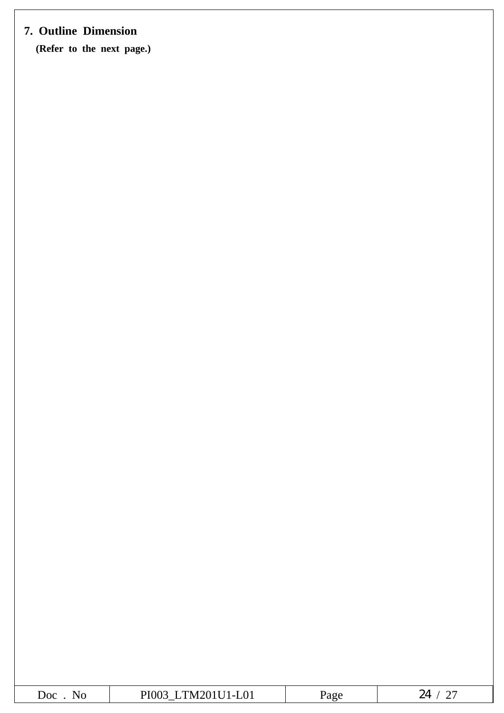# **7. Outline Dimension**

**(Refer to the next page.)**

| ഹ<br>$\sim$ $\sim$<br>___ | 211120101201<br>$\overline{\phantom{0}}$ | -- - - - - | - |
|---------------------------|------------------------------------------|------------|---|
|                           |                                          |            |   |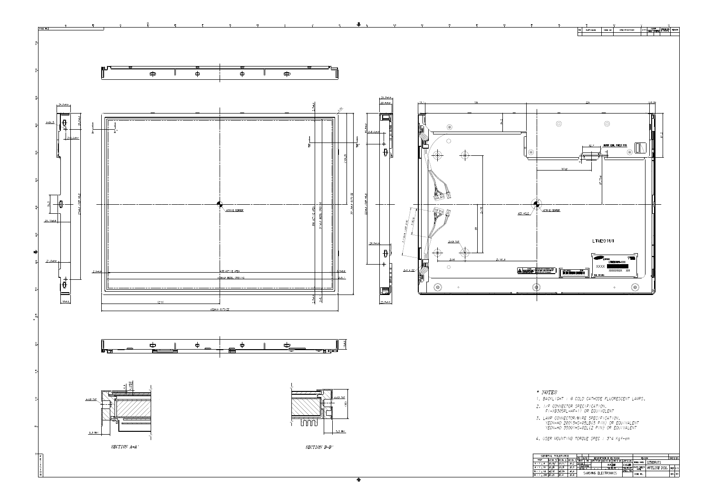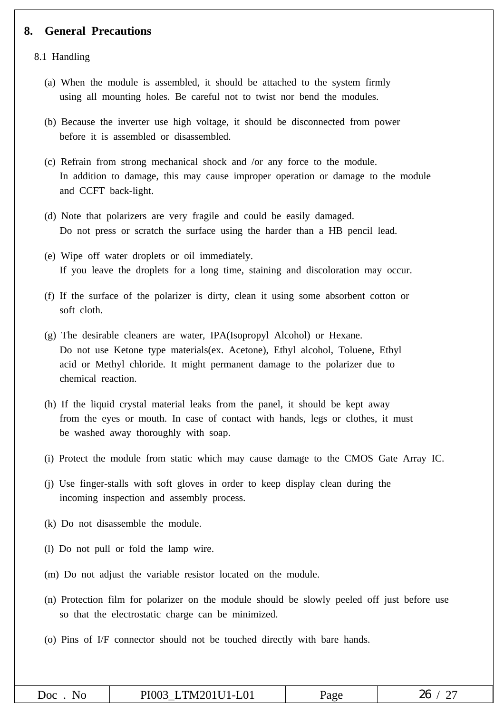### **8. General Precautions**

8.1 Handling

- (a) When the module is assembled, it should be attached to the system firmly using all mounting holes. Be careful not to twist nor bend the modules.
- (b) Because the inverter use high voltage, it should be disconnected from power before it is assembled or disassembled.
- (c) Refrain from strong mechanical shock and /or any force to the module. In addition to damage, this may cause improper operation or damage to the module and CCFT back-light.
- (d) Note that polarizers are very fragile and could be easily damaged. Do not press or scratch the surface using the harder than a HB pencil lead.
- (e) Wipe off water droplets or oil immediately. If you leave the droplets for a long time, staining and discoloration may occur.
- (f) If the surface of the polarizer is dirty, clean it using some absorbent cotton or soft cloth.
- (g) The desirable cleaners are water, IPA(Isopropyl Alcohol) or Hexane. Do not use Ketone type materials(ex. Acetone), Ethyl alcohol, Toluene, Ethyl acid or Methyl chloride. It might permanent damage to the polarizer due to chemical reaction.
- (h) If the liquid crystal material leaks from the panel, it should be kept away from the eyes or mouth. In case of contact with hands, legs or clothes, it must be washed away thoroughly with soap.
- (i) Protect the module from static which may cause damage to the CMOS Gate Array IC.
- (j) Use finger-stalls with soft gloves in order to keep display clean during the incoming inspection and assembly process.
- (k) Do not disassemble the module.
- (l) Do not pull or fold the lamp wire.
- (m) Do not adjust the variable resistor located on the module.
- (n) Protection film for polarizer on the module should be slowly peeled off just before use so that the electrostatic charge can be minimized.
- (o) Pins of I/F connector should not be touched directly with bare hands.

| No<br>DOC. | LTM201U1-L01<br>PI003 | Page | 26 |
|------------|-----------------------|------|----|
|------------|-----------------------|------|----|